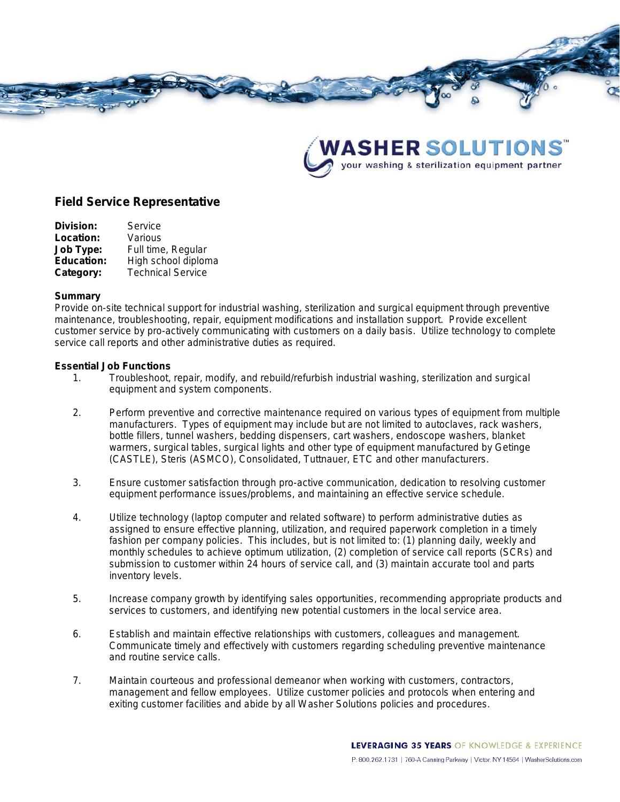



# **Field Service Representative**

| Service                  |
|--------------------------|
| Various                  |
| Full time, Regular       |
| High school diploma      |
| <b>Technical Service</b> |
|                          |

#### **Summary**

Provide on-site technical support for industrial washing, sterilization and surgical equipment through preventive maintenance, troubleshooting, repair, equipment modifications and installation support. Provide excellent customer service by pro-actively communicating with customers on a daily basis. Utilize technology to complete service call reports and other administrative duties as required.

#### **Essential Job Functions**

- 1. Troubleshoot, repair, modify, and rebuild/refurbish industrial washing, sterilization and surgical equipment and system components.
- 2. Perform preventive and corrective maintenance required on various types of equipment from multiple manufacturers. Types of equipment may include but are not limited to autoclaves, rack washers, bottle fillers, tunnel washers, bedding dispensers, cart washers, endoscope washers, blanket warmers, surgical tables, surgical lights and other type of equipment manufactured by Getinge (CASTLE), Steris (ASMCO), Consolidated, Tuttnauer, ETC and other manufacturers.
- 3. Ensure customer satisfaction through pro-active communication, dedication to resolving customer equipment performance issues/problems, and maintaining an effective service schedule.
- 4. Utilize technology (laptop computer and related software) to perform administrative duties as assigned to ensure effective planning, utilization, and required paperwork completion in a timely fashion per company policies. This includes, but is not limited to: (1) planning daily, weekly and monthly schedules to achieve optimum utilization, (2) completion of service call reports (SCRs) and submission to customer within 24 hours of service call, and (3) maintain accurate tool and parts inventory levels.
- 5. Increase company growth by identifying sales opportunities, recommending appropriate products and services to customers, and identifying new potential customers in the local service area.
- 6. Establish and maintain effective relationships with customers, colleagues and management. Communicate timely and effectively with customers regarding scheduling preventive maintenance and routine service calls.
- 7. Maintain courteous and professional demeanor when working with customers, contractors, management and fellow employees. Utilize customer policies and protocols when entering and exiting customer facilities and abide by all Washer Solutions policies and procedures.